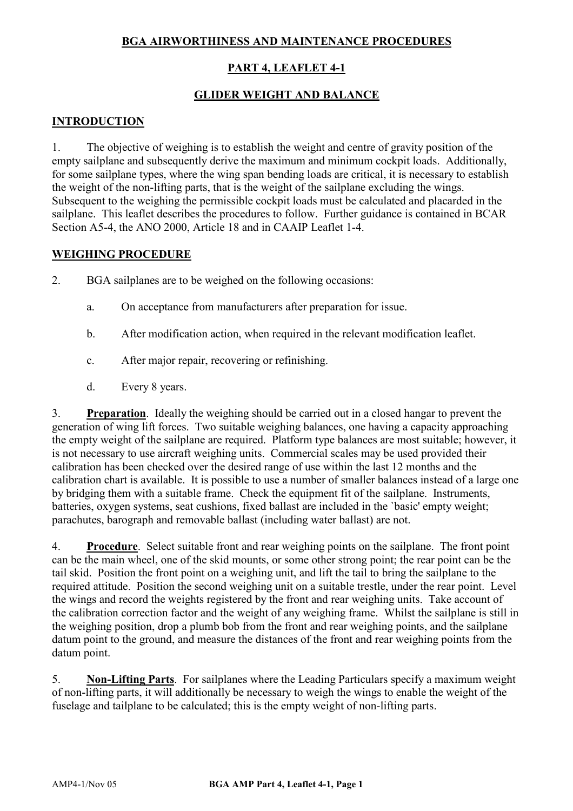# **BGA AIRWORTHINESS AND MAINTENANCE PROCEDURES**

# **PART 4, LEAFLET 4-1**

## **GLIDER WEIGHT AND BALANCE**

## **INTRODUCTION**

1. The objective of weighing is to establish the weight and centre of gravity position of the empty sailplane and subsequently derive the maximum and minimum cockpit loads. Additionally, for some sailplane types, where the wing span bending loads are critical, it is necessary to establish the weight of the non-lifting parts, that is the weight of the sailplane excluding the wings. Subsequent to the weighing the permissible cockpit loads must be calculated and placarded in the sailplane. This leaflet describes the procedures to follow. Further guidance is contained in BCAR Section A5-4, the ANO 2000, Article 18 and in CAAIP Leaflet 1-4.

## **WEIGHING PROCEDURE**

- 2. BGA sailplanes are to be weighed on the following occasions:
	- a. On acceptance from manufacturers after preparation for issue.
	- b. After modification action, when required in the relevant modification leaflet.
	- c. After major repair, recovering or refinishing.
	- d. Every 8 years.

3. **Preparation**. Ideally the weighing should be carried out in a closed hangar to prevent the generation of wing lift forces. Two suitable weighing balances, one having a capacity approaching the empty weight of the sailplane are required. Platform type balances are most suitable; however, it is not necessary to use aircraft weighing units. Commercial scales may be used provided their calibration has been checked over the desired range of use within the last 12 months and the calibration chart is available. It is possible to use a number of smaller balances instead of a large one by bridging them with a suitable frame. Check the equipment fit of the sailplane. Instruments, batteries, oxygen systems, seat cushions, fixed ballast are included in the `basic' empty weight; parachutes, barograph and removable ballast (including water ballast) are not.

4. **Procedure**. Select suitable front and rear weighing points on the sailplane. The front point can be the main wheel, one of the skid mounts, or some other strong point; the rear point can be the tail skid. Position the front point on a weighing unit, and lift the tail to bring the sailplane to the required attitude. Position the second weighing unit on a suitable trestle, under the rear point. Level the wings and record the weights registered by the front and rear weighing units. Take account of the calibration correction factor and the weight of any weighing frame. Whilst the sailplane is still in the weighing position, drop a plumb bob from the front and rear weighing points, and the sailplane datum point to the ground, and measure the distances of the front and rear weighing points from the datum point.

5. **Non-Lifting Parts**. For sailplanes where the Leading Particulars specify a maximum weight of non-lifting parts, it will additionally be necessary to weigh the wings to enable the weight of the fuselage and tailplane to be calculated; this is the empty weight of non-lifting parts.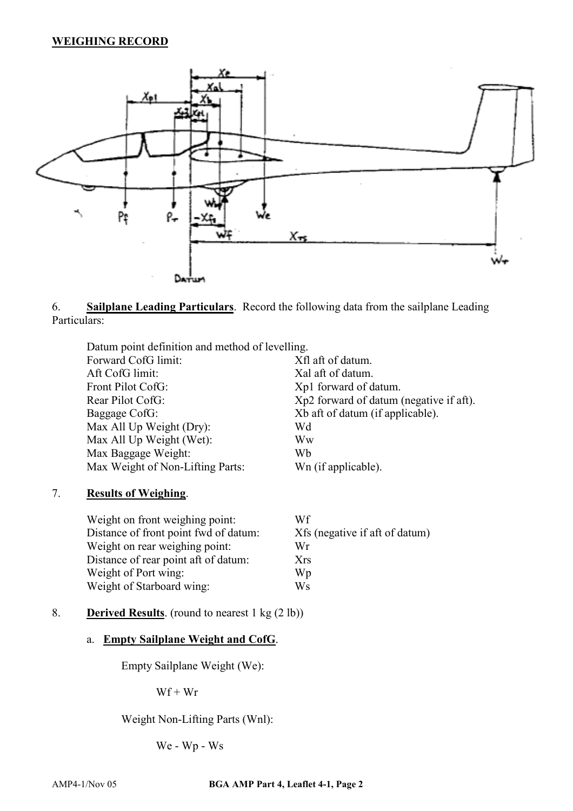## **WEIGHING RECORD**



6. **Sailplane Leading Particulars**. Record the following data from the sailplane Leading Particulars:

Datum point definition and method of levelling. Forward CofG limit: Xfl aft of datum. Aft CofG limit: Xal aft of datum. Front Pilot CofG:  $Xp1$  forward of datum. Rear Pilot CofG:  $Xp2$  forward of datum (negative if aft). Baggage CofG: Xb aft of datum (if applicable). Max All Up Weight (Dry): Wd Max All Up Weight (Wet): Ww Max Baggage Weight: Wb Max Weight of Non-Lifting Parts: Wn (if applicable).

#### 7. **Results of Weighing**.

| Weight on front weighing point:       | Wf                             |
|---------------------------------------|--------------------------------|
| Distance of front point fwd of datum: | Xfs (negative if aft of datum) |
| Weight on rear weighing point:        | Wr                             |
| Distance of rear point aft of datum:  | <b>Xrs</b>                     |
| Weight of Port wing:                  | Wp                             |
| Weight of Starboard wing:             | Ws                             |

## 8. **Derived Results**. (round to nearest 1 kg (2 lb))

#### a. **Empty Sailplane Weight and CofG**.

Empty Sailplane Weight (We):

 $Wf + Wr$ 

Weight Non-Lifting Parts (Wnl):

We - Wp - Ws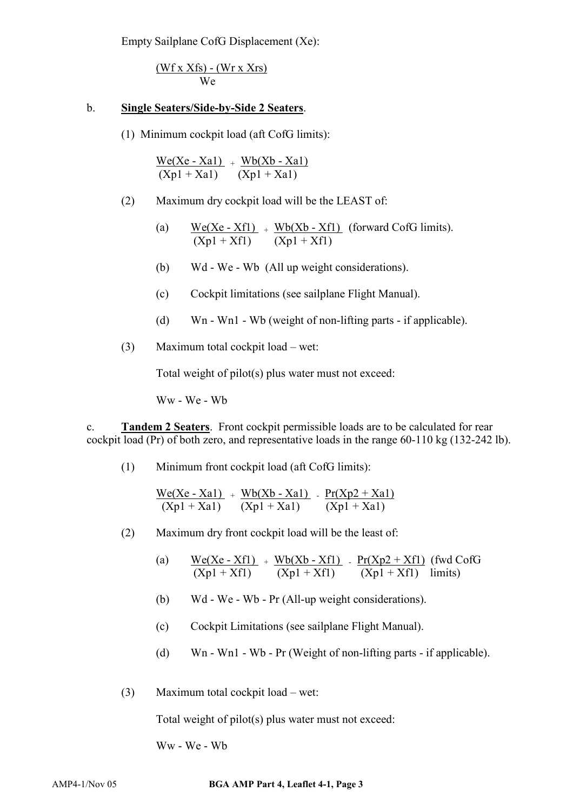Empty Sailplane CofG Displacement (Xe):

$$
\frac{\text{(Wf x Xfs)} - \text{(Wr x Xrs)}}{\text{We}}
$$

#### b. **Single Seaters/Side-by-Side 2 Seaters**.

(1) Minimum cockpit load (aft CofG limits):

 $We(Xe - Xa1) + Wb(Xb - Xa1)$  $(Xp1 + Xa1)$   $(Xp1 + Xa1)$ 

(2) Maximum dry cockpit load will be the LEAST of:

(a) 
$$
\frac{\text{We}(Xe - Xf1)}{(Xp1 + Xf1)} + \frac{\text{Wb}(Xb - Xf1)}{(Xp1 + Xf1)}
$$
 (forward CofG limits).

- (b) Wd We Wb (All up weight considerations).
- (c) Cockpit limitations (see sailplane Flight Manual).
- (d) Wn Wn1 Wb (weight of non-lifting parts if applicable).
- (3) Maximum total cockpit load wet:

Total weight of pilot(s) plus water must not exceed:

Ww - We - Wb

c. **Tandem 2 Seaters**. Front cockpit permissible loads are to be calculated for rear cockpit load (Pr) of both zero, and representative loads in the range 60-110 kg (132-242 lb).

(1) Minimum front cockpit load (aft CofG limits):

$$
\frac{We(Xe - Xa1)}{(Xp1 + Xa1)} + \frac{Wb(Xb - Xa1)}{(Xp1 + Xa1)} - \frac{Pr(Xp2 + Xa1)}{(Xp1 + Xa1)}
$$

- (2) Maximum dry front cockpit load will be the least of:
	- (a)  $We(Xe-Xf1) + Wb(Xb-Xf1) Pr(Xp2+Xf1) (fwd CofG)$ </u>  $(Xp1 + Xf1)$   $(Xp1 + Xf1)$   $(Xp1 + Xf1)$  limits)
	- (b) Wd We Wb Pr (All-up weight considerations).
	- (c) Cockpit Limitations (see sailplane Flight Manual).
	- (d) Wn Wn1 Wb Pr (Weight of non-lifting parts if applicable).
- (3) Maximum total cockpit load wet:

Total weight of pilot(s) plus water must not exceed:

Ww - We - Wb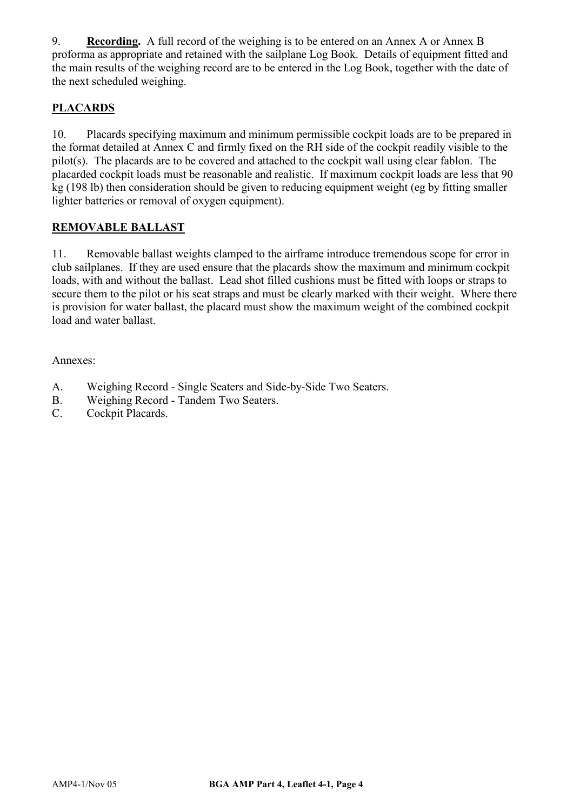9. **Recording.** A full record of the weighing is to be entered on an Annex A or Annex B proforma as appropriate and retained with the sailplane Log Book. Details of equipment fitted and the main results of the weighing record are to be entered in the Log Book, together with the date of the next scheduled weighing.

# **PLACARDS**

10. Placards specifying maximum and minimum permissible cockpit loads are to be prepared in the format detailed at Annex C and firmly fixed on the RH side of the cockpit readily visible to the pilot(s). The placards are to be covered and attached to the cockpit wall using clear fablon. The placarded cockpit loads must be reasonable and realistic. If maximum cockpit loads are less that 90 kg (198 lb) then consideration should be given to reducing equipment weight (eg by fitting smaller lighter batteries or removal of oxygen equipment).

## **REMOVABLE BALLAST**

11. Removable ballast weights clamped to the airframe introduce tremendous scope for error in club sailplanes. If they are used ensure that the placards show the maximum and minimum cockpit loads, with and without the ballast. Lead shot filled cushions must be fitted with loops or straps to secure them to the pilot or his seat straps and must be clearly marked with their weight. Where there is provision for water ballast, the placard must show the maximum weight of the combined cockpit load and water ballast.

Annexes:

- A. Weighing Record Single Seaters and Side-by-Side Two Seaters.
- B. Weighing Record Tandem Two Seaters.
- C. Cockpit Placards.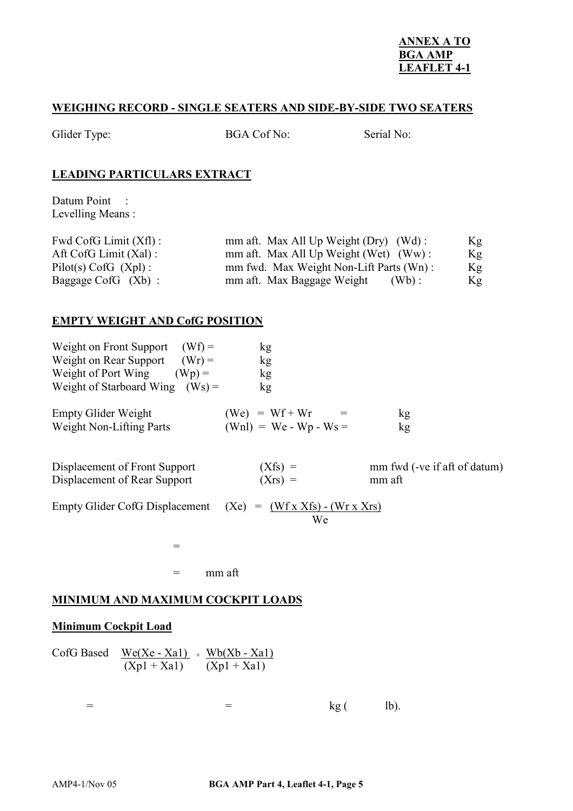#### **ANNEX A TO BGA AMP LEAFLET 4-1**

#### **WEIGHING RECORD - SINGLE SEATERS AND SIDE-BY-SIDE TWO SEATERS**

| Glider Type: | <b>BGA Cof No:</b> | Serial No: |
|--------------|--------------------|------------|
|              |                    |            |

## **LEADING PARTICULARS EXTRACT**

Datum Point : Levelling Means :

| Fwd CofG Limit $(Xf)$ :  | mm aft. Max All Up Weight (Dry) (Wd):   | Kg |
|--------------------------|-----------------------------------------|----|
| Aft CofG Limit $(Xal)$ : | mm aft. Max All Up Weight (Wet) (Ww):   | Kg |
| $Pilot(s) CofG (Xpl)$ :  | mm fwd. Max Weight Non-Lift Parts (Wn): | Kg |
| Baggage CofG $(Xb)$ :    | mm aft. Max Baggage Weight<br>$(Wb)$ :  | Kg |

### **EMPTY WEIGHT AND CofG POSITION**

| $(Wf) =$<br>Weight on Front Support<br>Weight on Rear Support $(Wr) =$<br>Weight of Port Wing<br>$(Wp) =$<br>Weight of Starboard Wing $(Ws) =$ | kg<br>kg<br>kg<br>kg                                     |                              |
|------------------------------------------------------------------------------------------------------------------------------------------------|----------------------------------------------------------|------------------------------|
| <b>Empty Glider Weight</b>                                                                                                                     | $(We) = Wf + Wr =$                                       | kg                           |
| <b>Weight Non-Lifting Parts</b>                                                                                                                | $(Wnl) = We - Wp - Ws =$                                 | kg                           |
| Displacement of Front Support                                                                                                                  | $(Xfs) =$                                                | mm fwd (-ve if aft of datum) |
| Displacement of Rear Support                                                                                                                   | $(Xrs) =$                                                | mm aft                       |
| <b>Empty Glider CofG Displacement</b>                                                                                                          | (Xe)<br>$(Wf \times Xfs) - (Wr \times Xrs)$<br>$=$<br>We |                              |

 $=$  mm aft

#### **MINIMUM AND MAXIMUM COCKPIT LOADS**

=

### **Minimum Cockpit Load**

| $CofG$ Based We(Xe - Xa1) + Wb(Xb - Xa1) |               |
|------------------------------------------|---------------|
| $(Xp1 + Xa1)$                            | $(Xp1 + Xa1)$ |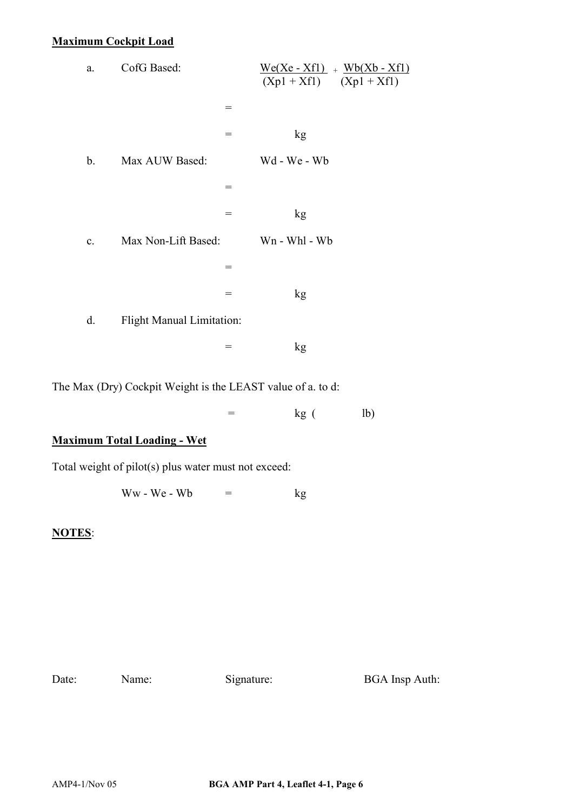# **Maximum Cockpit Load**

The Max (Dry) Cockpit Weight is the LEAST value of a. to d:

 $=$  kg ( lb)

# **Maximum Total Loading - Wet**

Total weight of pilot(s) plus water must not exceed:

Ww - We - Wb  $=$  kg

#### **NOTES**:

Date: Name: Signature: BGA Insp Auth: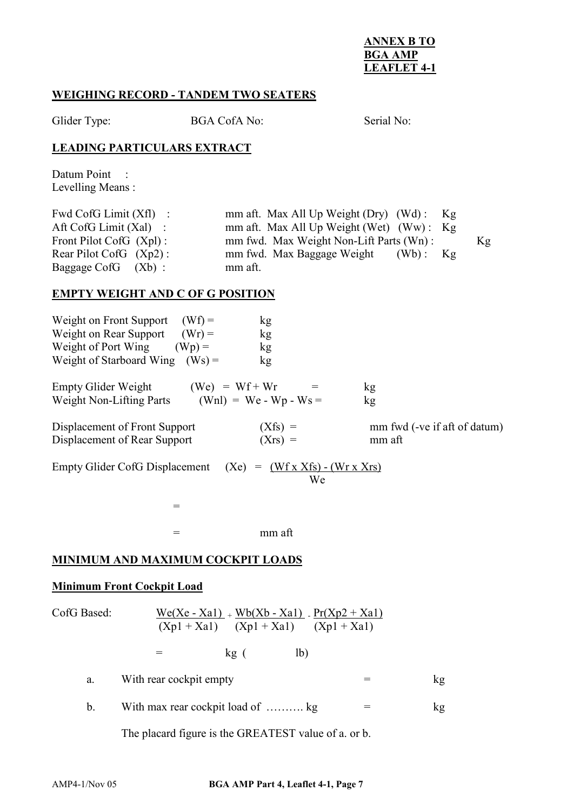#### **ANNEX B TO BGA AMP LEAFLET 4-1**

### **WEIGHING RECORD - TANDEM TWO SEATERS**

Glider Type: BGA CofA No: Serial No:

## **LEADING PARTICULARS EXTRACT**

Datum Point : Levelling Means :

| Fwd CofG Limit $(Xf)$ :    | mm aft. Max All Up Weight (Dry) $(Wd)$ : Kg |    |
|----------------------------|---------------------------------------------|----|
| Aft CofG Limit $(Xal)$ :   | mm aft. Max All Up Weight (Wet) $(Ww)$ : Kg |    |
| Front Pilot CofG $(Xpl)$ : | mm fwd. Max Weight Non-Lift Parts (Wn):     | Kg |
| Rear Pilot CofG $(Xp2)$ :  | mm fwd. Max Baggage Weight (Wb):<br>Kg      |    |
| Baggage CofG (Xb):         | mm aft.                                     |    |

### **EMPTY WEIGHT AND C OF G POSITION**

| Weight on Front Support<br>$(Wf) =$                           | kg                                           |                                        |
|---------------------------------------------------------------|----------------------------------------------|----------------------------------------|
| Weight on Rear Support<br>$(Wr) =$                            | kg                                           |                                        |
| Weight of Port Wing<br>$(Wp) =$                               | kg                                           |                                        |
| Weight of Starboard Wing $(Ws) =$                             | kg                                           |                                        |
| <b>Empty Glider Weight</b><br><b>Weight Non-Lifting Parts</b> | $(We) = Wf + Wr$<br>$(Wnl) = We - Wp - Ws =$ | kg<br>kg                               |
| Displacement of Front Support<br>Displacement of Rear Support | $(Xfs) =$<br>$(Xrs) =$                       | mm fwd (-ve if aft of datum)<br>mm aft |
|                                                               |                                              |                                        |

Empty Glider CofG Displacement (Xe) =  $(Wf x Xfs) - (Wr x Xrs)$ We

 $=$  mm aft

### **MINIMUM AND MAXIMUM COCKPIT LOADS**

=

#### **Minimum Front Cockpit Load**

| CofG Based: | $\underline{\text{We}}(Xe - Xa1) + \underline{\text{Wb}}(Xb - Xa1)$ . $\underline{\text{Pr}}(Xp2 + Xa1)$<br>$(Xp1 + Xa1)$ $(Xp1 + Xa1)$ $(Xp1 + Xa1)$ |     |                |  |    |
|-------------|-------------------------------------------------------------------------------------------------------------------------------------------------------|-----|----------------|--|----|
|             |                                                                                                                                                       | kg( | 1 <sub>b</sub> |  |    |
| a.          | With rear cockpit empty                                                                                                                               |     |                |  | kg |
|             |                                                                                                                                                       |     |                |  |    |

b. With max rear cockpit load of  $\dots$  kg  $=$  kg

The placard figure is the GREATEST value of a. or b.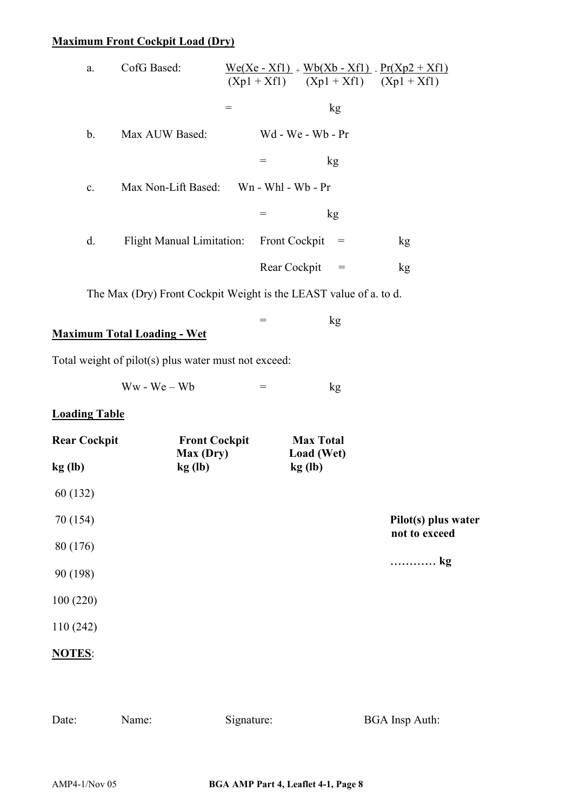# **Maximum Front Cockpit Load (Dry)**

| a.                   | CofG Based:                                                       |                                |                                     | $\frac{\text{We}(Xe - Xf1)}{\text{We}(Xe - Xf1)}$ . $\frac{\text{Pr}(Xp2 + Xf1)}{\text{Pr}(Xp2 + Xf1)}$<br>$(Xp1 + Xf1)$ $(Xp1 + Xf1)$ $(Xp1 + Xf1)$ |                                      |
|----------------------|-------------------------------------------------------------------|--------------------------------|-------------------------------------|------------------------------------------------------------------------------------------------------------------------------------------------------|--------------------------------------|
|                      |                                                                   | $\qquad \qquad =\qquad \qquad$ |                                     | kg                                                                                                                                                   |                                      |
| $\mathbf b$ .        | Max AUW Based:                                                    |                                |                                     | Wd - We - Wb - Pr                                                                                                                                    |                                      |
|                      |                                                                   |                                | $\qquad \qquad =\qquad \qquad$      | kg                                                                                                                                                   |                                      |
| $\mathbf{c}$ .       | Max Non-Lift Based: Wn - Whl - Wb - Pr                            |                                |                                     |                                                                                                                                                      |                                      |
|                      |                                                                   |                                | $=$                                 | kg                                                                                                                                                   |                                      |
| $d_{\cdot}$          | <b>Flight Manual Limitation:</b>                                  |                                | <b>Front Cockpit</b>                | $\alpha =$                                                                                                                                           | kg                                   |
|                      |                                                                   |                                | Rear Cockpit                        | $=$                                                                                                                                                  | kg                                   |
|                      | The Max (Dry) Front Cockpit Weight is the LEAST value of a. to d. |                                |                                     |                                                                                                                                                      |                                      |
|                      | <b>Maximum Total Loading - Wet</b>                                |                                | $=$                                 | kg                                                                                                                                                   |                                      |
|                      | Total weight of pilot(s) plus water must not exceed:              |                                |                                     |                                                                                                                                                      |                                      |
|                      | $Ww - We - Wb$                                                    |                                | $\hspace*{0.4em} = \hspace*{0.4em}$ |                                                                                                                                                      |                                      |
|                      |                                                                   |                                |                                     | kg                                                                                                                                                   |                                      |
| <b>Loading Table</b> |                                                                   |                                |                                     |                                                                                                                                                      |                                      |
| <b>Rear Cockpit</b>  | <b>Front Cockpit</b><br>Max (Dry)                                 |                                |                                     | <b>Max Total</b><br>Load (Wet)                                                                                                                       |                                      |
| kg(h)                | kg(h)                                                             |                                |                                     | kg(h)                                                                                                                                                |                                      |
| 60 (132)             |                                                                   |                                |                                     |                                                                                                                                                      |                                      |
| 70 (154)             |                                                                   |                                |                                     |                                                                                                                                                      | Pilot(s) plus water<br>not to exceed |
| 80 (176)             |                                                                   |                                |                                     |                                                                                                                                                      |                                      |
| 90 (198)             |                                                                   |                                |                                     |                                                                                                                                                      | kg                                   |
| 100(220)             |                                                                   |                                |                                     |                                                                                                                                                      |                                      |
| 110(242)             |                                                                   |                                |                                     |                                                                                                                                                      |                                      |
| <b>NOTES:</b>        |                                                                   |                                |                                     |                                                                                                                                                      |                                      |